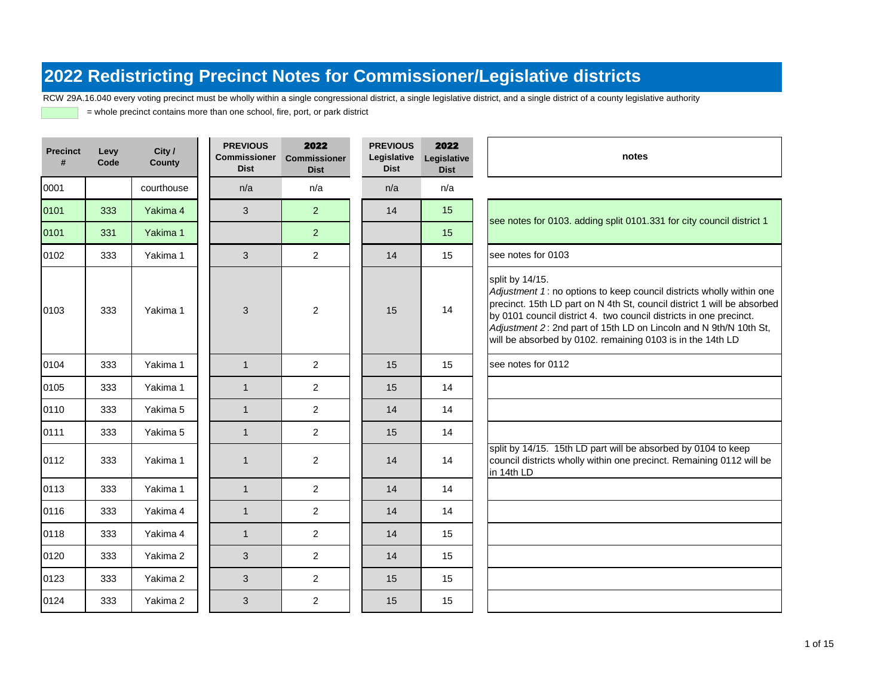RCW 29A.16.040 every voting precinct must be wholly within a single congressional district, a single legislative district, and a single district of a county legislative authority

| <b>Precinct</b><br># | Levy<br>Code | City /<br><b>County</b> | <b>PREVIOUS</b><br><b>Commissioner</b><br><b>Dist</b> | 2022<br><b>Commissioner</b><br><b>Dist</b> | <b>PREVIOUS</b><br>Legislative<br><b>Dist</b> | 2022<br>Legislative<br><b>Dist</b> | notes                                                                                                                                                                                                                                                                                                                                                                       |
|----------------------|--------------|-------------------------|-------------------------------------------------------|--------------------------------------------|-----------------------------------------------|------------------------------------|-----------------------------------------------------------------------------------------------------------------------------------------------------------------------------------------------------------------------------------------------------------------------------------------------------------------------------------------------------------------------------|
| 0001                 |              | courthouse              | n/a                                                   | n/a                                        | n/a                                           | n/a                                |                                                                                                                                                                                                                                                                                                                                                                             |
| 0101                 | 333          | Yakima 4                | 3                                                     | $\overline{2}$                             | 14                                            | 15                                 |                                                                                                                                                                                                                                                                                                                                                                             |
| 0101                 | 331          | Yakima 1                |                                                       | $\overline{2}$                             |                                               | 15                                 | see notes for 0103. adding split 0101.331 for city council district 1                                                                                                                                                                                                                                                                                                       |
| 0102                 | 333          | Yakima 1                | 3                                                     | $\overline{a}$                             | 14                                            | 15                                 | see notes for 0103                                                                                                                                                                                                                                                                                                                                                          |
| 0103                 | 333          | Yakima 1                | 3                                                     | $\overline{2}$                             | 15                                            | 14                                 | split by 14/15.<br>Adjustment 1: no options to keep council districts wholly within one<br>precinct. 15th LD part on N 4th St, council district 1 will be absorbed<br>by 0101 council district 4. two council districts in one precinct.<br>Adjustment 2: 2nd part of 15th LD on Lincoln and N 9th/N 10th St,<br>will be absorbed by 0102. remaining 0103 is in the 14th LD |
| 0104                 | 333          | Yakima 1                | $\mathbf{1}$                                          | $\overline{2}$                             | 15                                            | 15                                 | see notes for 0112                                                                                                                                                                                                                                                                                                                                                          |
| 0105                 | 333          | Yakima 1                | $\mathbf{1}$                                          | $\overline{2}$                             | 15                                            | 14                                 |                                                                                                                                                                                                                                                                                                                                                                             |
| 0110                 | 333          | Yakima 5                | $\mathbf{1}$                                          | $\overline{2}$                             | 14                                            | 14                                 |                                                                                                                                                                                                                                                                                                                                                                             |
| 0111                 | 333          | Yakima 5                | $\mathbf{1}$                                          | $\overline{2}$                             | 15                                            | 14                                 |                                                                                                                                                                                                                                                                                                                                                                             |
| 0112                 | 333          | Yakima 1                | $\mathbf{1}$                                          | $\overline{2}$                             | 14                                            | 14                                 | split by 14/15. 15th LD part will be absorbed by 0104 to keep<br>council districts wholly within one precinct. Remaining 0112 will be<br>in 14th LD                                                                                                                                                                                                                         |
| 0113                 | 333          | Yakima 1                | $\mathbf{1}$                                          | $\overline{2}$                             | 14                                            | 14                                 |                                                                                                                                                                                                                                                                                                                                                                             |
| 0116                 | 333          | Yakima 4                | $\mathbf{1}$                                          | $\overline{2}$                             | 14                                            | 14                                 |                                                                                                                                                                                                                                                                                                                                                                             |
| 0118                 | 333          | Yakima 4                | $\mathbf{1}$                                          | $\overline{2}$                             | 14                                            | 15                                 |                                                                                                                                                                                                                                                                                                                                                                             |
| 0120                 | 333          | Yakima 2                | 3                                                     | $\overline{2}$                             | 14                                            | 15                                 |                                                                                                                                                                                                                                                                                                                                                                             |
| 0123                 | 333          | Yakima 2                | 3                                                     | $\overline{2}$                             | 15                                            | 15                                 |                                                                                                                                                                                                                                                                                                                                                                             |
| 0124                 | 333          | Yakima 2                | 3                                                     | $\overline{2}$                             | 15                                            | 15                                 |                                                                                                                                                                                                                                                                                                                                                                             |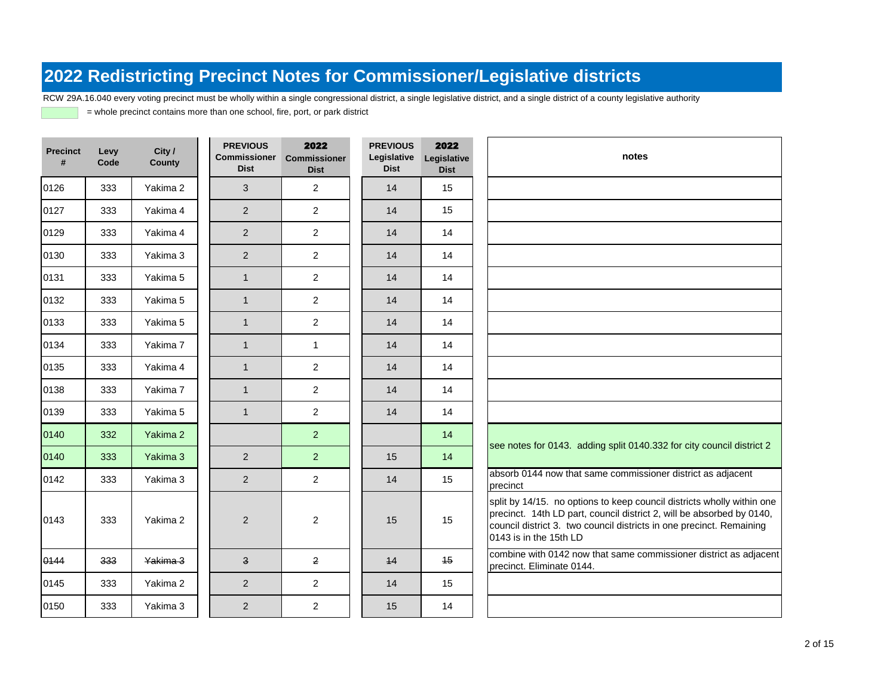RCW 29A.16.040 every voting precinct must be wholly within a single congressional district, a single legislative district, and a single district of a county legislative authority

| <b>Precinct</b><br># | Levy<br>Code | City /<br><b>County</b> | <b>PREVIOUS</b><br>Commissioner<br><b>Dist</b> | 2022<br><b>Commissioner</b><br><b>Dist</b> | <b>PREVIOUS</b><br>Legislative<br><b>Dist</b> | 2022<br>Legislative<br><b>Dist</b> | notes                                                                                                                                                                                                                                             |  |
|----------------------|--------------|-------------------------|------------------------------------------------|--------------------------------------------|-----------------------------------------------|------------------------------------|---------------------------------------------------------------------------------------------------------------------------------------------------------------------------------------------------------------------------------------------------|--|
| 0126                 | 333          | Yakima 2                | 3                                              | 2                                          | 14                                            | 15                                 |                                                                                                                                                                                                                                                   |  |
| 0127                 | 333          | Yakima 4                | 2                                              | $\overline{2}$                             | 14                                            | 15                                 |                                                                                                                                                                                                                                                   |  |
| 0129                 | 333          | Yakima 4                | 2                                              | 2                                          | 14                                            | 14                                 |                                                                                                                                                                                                                                                   |  |
| 0130                 | 333          | Yakima 3                | 2                                              | 2                                          | 14                                            | 14                                 |                                                                                                                                                                                                                                                   |  |
| 0131                 | 333          | Yakima 5                | $\mathbf{1}$                                   | $\overline{c}$                             | 14                                            | 14                                 |                                                                                                                                                                                                                                                   |  |
| 0132                 | 333          | Yakima 5                | $\mathbf{1}$                                   | $\overline{c}$                             | 14                                            | 14                                 |                                                                                                                                                                                                                                                   |  |
| 0133                 | 333          | Yakima 5                | $\mathbf{1}$                                   | $\overline{2}$                             | 14                                            | 14                                 |                                                                                                                                                                                                                                                   |  |
| 0134                 | 333          | Yakima 7                | $\mathbf{1}$                                   | $\mathbf{1}$                               | 14                                            | 14                                 |                                                                                                                                                                                                                                                   |  |
| 0135                 | 333          | Yakima 4                | $\mathbf{1}$                                   | 2                                          | 14                                            | 14                                 |                                                                                                                                                                                                                                                   |  |
| 0138                 | 333          | Yakima 7                | $\mathbf{1}$                                   | 2                                          | 14                                            | 14                                 |                                                                                                                                                                                                                                                   |  |
| 0139                 | 333          | Yakima 5                | $\mathbf{1}$                                   | $\overline{2}$                             | 14                                            | 14                                 |                                                                                                                                                                                                                                                   |  |
| 0140                 | 332          | Yakima 2                |                                                | $\overline{2}$                             |                                               | 14                                 |                                                                                                                                                                                                                                                   |  |
| 0140                 | 333          | Yakima 3                | $\overline{2}$                                 | $\overline{2}$                             | 15                                            | 14                                 | see notes for 0143. adding split 0140.332 for city council district 2                                                                                                                                                                             |  |
| 0142                 | 333          | Yakima 3                | $\overline{2}$                                 | $\overline{2}$                             | 14                                            | 15                                 | absorb 0144 now that same commissioner district as adjacent<br>precinct                                                                                                                                                                           |  |
| 0143                 | 333          | Yakima 2                | $\overline{2}$                                 | $\overline{2}$                             | 15                                            | 15                                 | split by 14/15. no options to keep council districts wholly within one<br>precinct. 14th LD part, council district 2, will be absorbed by 0140,<br>council district 3. two council districts in one precinct. Remaining<br>0143 is in the 15th LD |  |
| 0144                 | 333          | Yakima 3                | $\overline{\mathbf{3}}$                        | $\overline{2}$                             | 44                                            | 45                                 | combine with 0142 now that same commissioner district as adjacent<br>precinct. Eliminate 0144.                                                                                                                                                    |  |
| 0145                 | 333          | Yakima 2                | $\overline{2}$                                 | 2                                          | 14                                            | 15                                 |                                                                                                                                                                                                                                                   |  |
| 0150                 | 333          | Yakima 3                | $\overline{2}$                                 | $\overline{2}$                             | 15                                            | 14                                 |                                                                                                                                                                                                                                                   |  |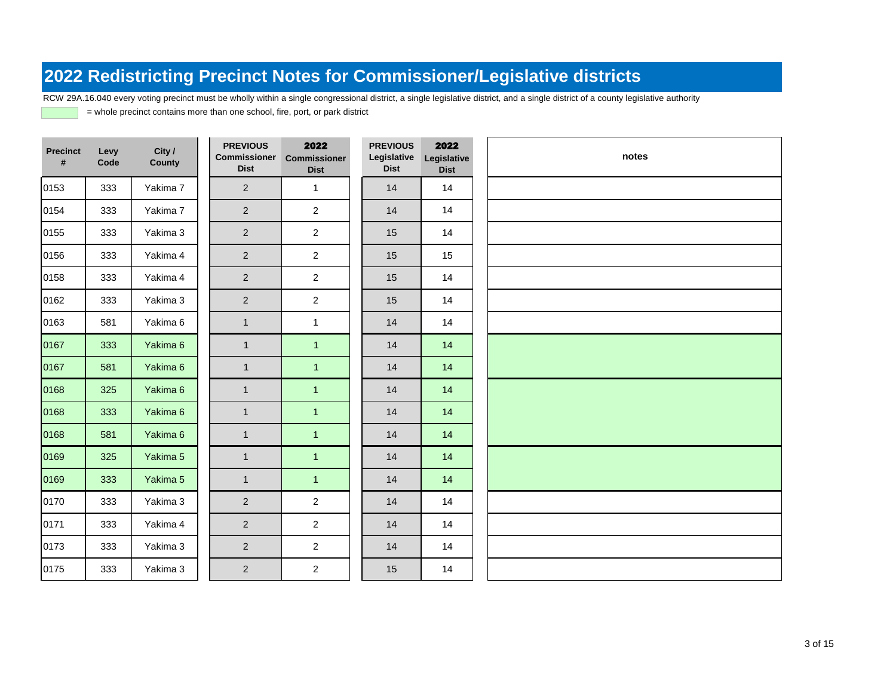RCW 29A.16.040 every voting precinct must be wholly within a single congressional district, a single legislative district, and a single district of a county legislative authority

| <b>Precinct</b><br># | Levy<br>Code | City /<br><b>County</b> | <b>PREVIOUS</b><br><b>Commissioner</b><br><b>Dist</b> | 2022<br><b>Commissioner</b><br><b>Dist</b> | <b>PREVIOUS</b><br>Legislative<br><b>Dist</b> | 2022<br>Legislative<br><b>Dist</b> | notes |
|----------------------|--------------|-------------------------|-------------------------------------------------------|--------------------------------------------|-----------------------------------------------|------------------------------------|-------|
| 0153                 | 333          | Yakima 7                | $\overline{2}$                                        | $\mathbf{1}$                               | 14                                            | 14                                 |       |
| 0154                 | 333          | Yakima 7                | $\overline{2}$                                        | $\overline{2}$                             | 14                                            | 14                                 |       |
| 0155                 | 333          | Yakima 3                | $\overline{2}$                                        | $\overline{2}$                             | 15                                            | 14                                 |       |
| 0156                 | 333          | Yakima 4                | $\overline{2}$                                        | $\overline{2}$                             | 15                                            | 15                                 |       |
| 0158                 | 333          | Yakima 4                | $\overline{2}$                                        | $\overline{2}$                             | 15                                            | 14                                 |       |
| 0162                 | 333          | Yakima 3                | $\overline{2}$                                        | $\overline{2}$                             | 15                                            | 14                                 |       |
| 0163                 | 581          | Yakima 6                | $\mathbf{1}$                                          | $\mathbf{1}$                               | 14                                            | 14                                 |       |
| 0167                 | 333          | Yakima 6                | $\mathbf{1}$                                          | $\mathbf{1}$                               | 14                                            | 14                                 |       |
| 0167                 | 581          | Yakima 6                | $\mathbf{1}$                                          | $\overline{1}$                             | 14                                            | 14                                 |       |
| 0168                 | 325          | Yakima 6                | $\mathbf{1}$                                          | $\overline{1}$                             | 14                                            | 14                                 |       |
| 0168                 | 333          | Yakima 6                | $\mathbf{1}$                                          | $\mathbf{1}$                               | 14                                            | 14                                 |       |
| 0168                 | 581          | Yakima 6                | $\mathbf{1}$                                          | $\overline{1}$                             | 14                                            | 14                                 |       |
| 0169                 | 325          | Yakima 5                | $\mathbf{1}$                                          | $\mathbf{1}$                               | 14                                            | 14                                 |       |
| 0169                 | 333          | Yakima 5                | $\mathbf{1}$                                          | $\blacktriangleleft$                       | 14                                            | 14                                 |       |
| 0170                 | 333          | Yakima 3                | $\overline{2}$                                        | $\overline{c}$                             | 14                                            | 14                                 |       |
| 0171                 | 333          | Yakima 4                | $\overline{2}$                                        | $\overline{2}$                             | 14                                            | 14                                 |       |
| 0173                 | 333          | Yakima 3                | $\overline{2}$                                        | $\overline{a}$                             | 14                                            | 14                                 |       |
| 0175                 | 333          | Yakima 3                | $\overline{2}$                                        | $\overline{2}$                             | 15                                            | 14                                 |       |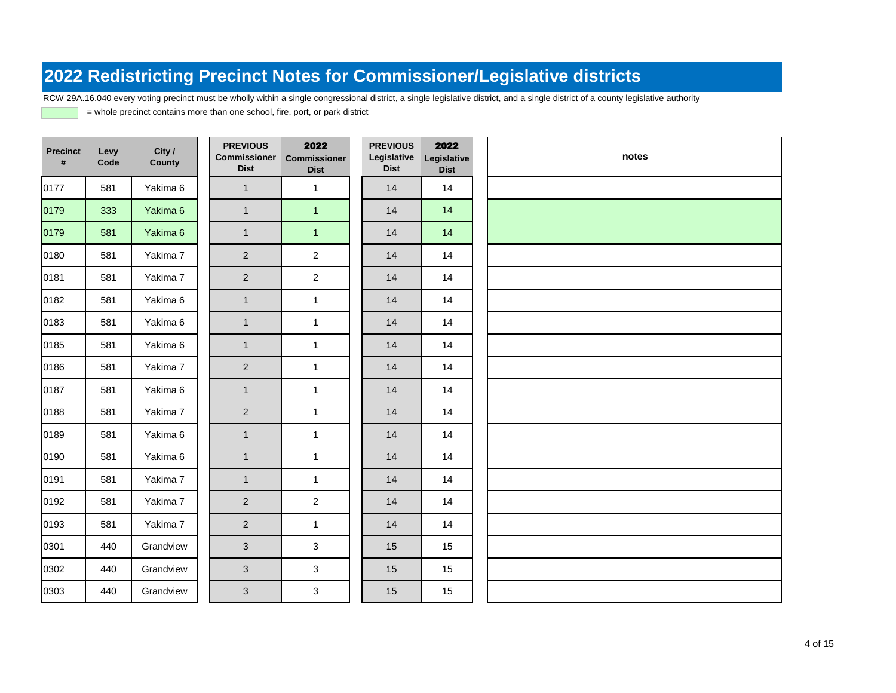RCW 29A.16.040 every voting precinct must be wholly within a single congressional district, a single legislative district, and a single district of a county legislative authority

| <b>Precinct</b><br># | Levy<br>Code | City /<br><b>County</b> | <b>PREVIOUS</b><br><b>Commissioner</b><br><b>Dist</b> | 2022<br><b>Commissioner</b><br><b>Dist</b> | <b>PREVIOUS</b><br>Legislative<br><b>Dist</b> | 2022<br>Legislative<br><b>Dist</b> | notes |
|----------------------|--------------|-------------------------|-------------------------------------------------------|--------------------------------------------|-----------------------------------------------|------------------------------------|-------|
| 0177                 | 581          | Yakima 6                | $\mathbf{1}$                                          | $\mathbf{1}$                               | 14                                            | 14                                 |       |
| 0179                 | 333          | Yakima 6                | $\mathbf{1}$                                          | $\overline{1}$                             | 14                                            | 14                                 |       |
| 0179                 | 581          | Yakima 6                | $\mathbf{1}$                                          | $\mathbf{1}$                               | 14                                            | 14                                 |       |
| 0180                 | 581          | Yakima 7                | 2                                                     | $\overline{2}$                             | 14                                            | 14                                 |       |
| 0181                 | 581          | Yakima 7                | $\overline{2}$                                        | $\overline{2}$                             | 14                                            | 14                                 |       |
| 0182                 | 581          | Yakima 6                | $\mathbf{1}$                                          | $\mathbf{1}$                               | 14                                            | 14                                 |       |
| 0183                 | 581          | Yakima 6                | $\overline{1}$                                        | $\mathbf{1}$                               | 14                                            | 14                                 |       |
| 0185                 | 581          | Yakima 6                | $\mathbf{1}$                                          | $\mathbf{1}$                               | 14                                            | 14                                 |       |
| 0186                 | 581          | Yakima 7                | $\overline{2}$                                        | $\mathbf{1}$                               | 14                                            | 14                                 |       |
| 0187                 | 581          | Yakima 6                | $\mathbf{1}$                                          | $\mathbf{1}$                               | 14                                            | 14                                 |       |
| 0188                 | 581          | Yakima 7                | 2                                                     | $\mathbf{1}$                               | 14                                            | 14                                 |       |
| 0189                 | 581          | Yakima 6                | $\mathbf{1}$                                          | $\mathbf{1}$                               | 14                                            | 14                                 |       |
| 0190                 | 581          | Yakima 6                | $\overline{1}$                                        | $\mathbf{1}$                               | 14                                            | 14                                 |       |
| 0191                 | 581          | Yakima 7                | $\mathbf{1}$                                          | $\mathbf{1}$                               | 14                                            | 14                                 |       |
| 0192                 | 581          | Yakima 7                | $\overline{2}$                                        | $\overline{2}$                             | 14                                            | 14                                 |       |
| 0193                 | 581          | Yakima 7                | $\overline{2}$                                        | $\mathbf{1}$                               | 14                                            | 14                                 |       |
| 0301                 | 440          | Grandview               | 3                                                     | 3                                          | 15                                            | 15                                 |       |
| 0302                 | 440          | Grandview               | $\mathbf{3}$                                          | $\mathbf{3}$                               | 15                                            | 15                                 |       |
| 0303                 | 440          | Grandview               | $\mathfrak{S}$                                        | $\mathbf{3}$                               | 15                                            | 15                                 |       |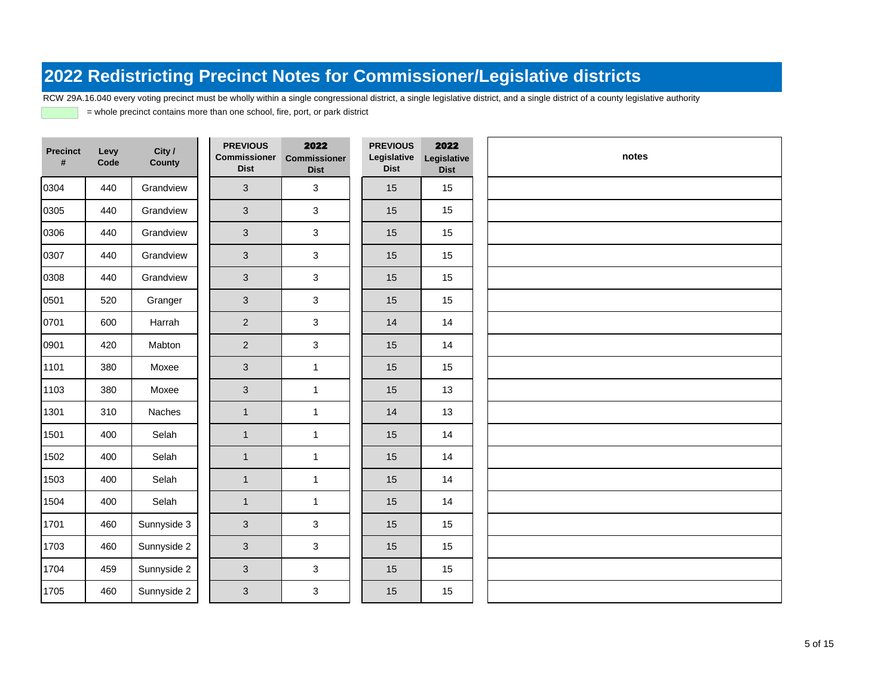RCW 29A.16.040 every voting precinct must be wholly within a single congressional district, a single legislative district, and a single district of a county legislative authority

| <b>Precinct</b><br># | Levy<br>Code | City /<br>County | <b>PREVIOUS</b><br><b>Commissioner</b><br><b>Dist</b> | 2022<br>Commissioner<br><b>Dist</b> | <b>PREVIOUS</b><br>Legislative<br><b>Dist</b> | 2022<br>Legislative<br><b>Dist</b> | notes |
|----------------------|--------------|------------------|-------------------------------------------------------|-------------------------------------|-----------------------------------------------|------------------------------------|-------|
| 0304                 | 440          | Grandview        | $\mathbf{3}$                                          | 3                                   | 15                                            | 15                                 |       |
| 0305                 | 440          | Grandview        | 3                                                     | 3                                   | 15                                            | 15                                 |       |
| 0306                 | 440          | Grandview        | $\mathbf{3}$                                          | 3                                   | 15                                            | 15                                 |       |
| 0307                 | 440          | Grandview        | $\mathfrak{S}$                                        | $\mathbf{3}$                        | 15                                            | 15                                 |       |
| 0308                 | 440          | Grandview        | $\mathbf{3}$                                          | 3                                   | 15                                            | 15                                 |       |
| 0501                 | 520          | Granger          | $\mathbf{3}$                                          | 3                                   | 15                                            | 15                                 |       |
| 0701                 | 600          | Harrah           | $\overline{2}$                                        | 3                                   | 14                                            | 14                                 |       |
| 0901                 | 420          | Mabton           | $\overline{2}$                                        | 3                                   | 15                                            | 14                                 |       |
| 1101                 | 380          | Moxee            | $\mathbf{3}$                                          | $\mathbf{1}$                        | 15                                            | 15                                 |       |
| 1103                 | 380          | Moxee            | 3                                                     | $\mathbf{1}$                        | 15                                            | 13                                 |       |
| 1301                 | 310          | Naches           | $\mathbf{1}$                                          | $\mathbf{1}$                        | 14                                            | 13                                 |       |
| 1501                 | 400          | Selah            | $\mathbf{1}$                                          | $\mathbf{1}$                        | 15                                            | 14                                 |       |
| 1502                 | 400          | Selah            | $\mathbf{1}$                                          | $\mathbf{1}$                        | 15                                            | 14                                 |       |
| 1503                 | 400          | Selah            | $\mathbf{1}$                                          | $\mathbf{1}$                        | 15                                            | 14                                 |       |
| 1504                 | 400          | Selah            | $\mathbf{1}$                                          | $\mathbf{1}$                        | 15                                            | 14                                 |       |
| 1701                 | 460          | Sunnyside 3      | $\mathfrak{S}$                                        | 3                                   | 15                                            | 15                                 |       |
| 1703                 | 460          | Sunnyside 2      | 3                                                     | 3                                   | 15                                            | 15                                 |       |
| 1704                 | 459          | Sunnyside 2      | 3                                                     | $\mathbf{3}$                        | 15                                            | 15                                 |       |
| 1705                 | 460          | Sunnyside 2      | 3                                                     | 3                                   | 15                                            | 15                                 |       |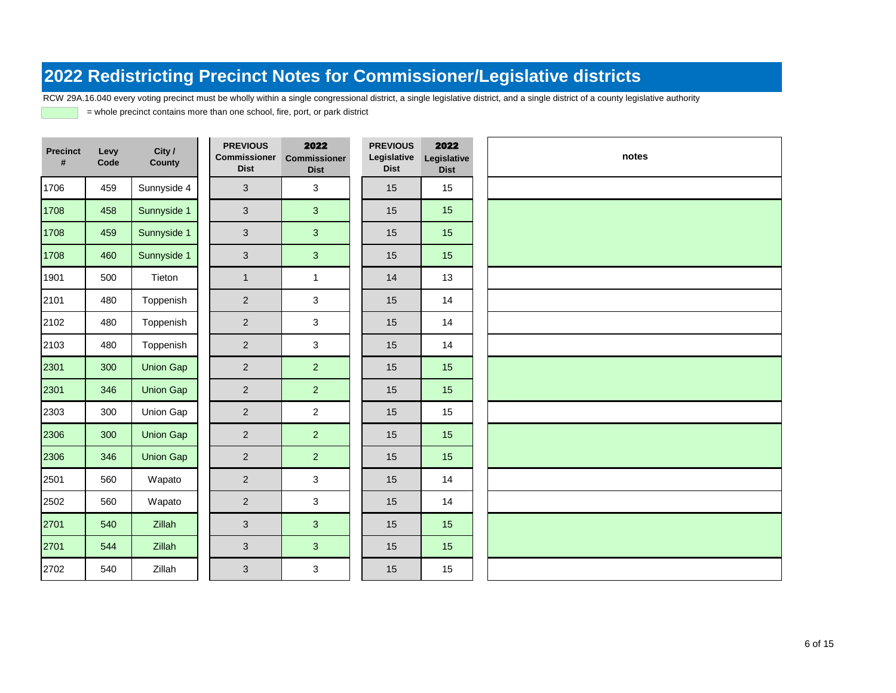RCW 29A.16.040 every voting precinct must be wholly within a single congressional district, a single legislative district, and a single district of a county legislative authority

| <b>Precinct</b><br># | Levy<br>Code | City /<br><b>County</b> | <b>PREVIOUS</b><br><b>Commissioner</b><br><b>Dist</b> | 2022<br><b>Commissioner</b><br><b>Dist</b> | <b>PREVIOUS</b><br>Legislative<br><b>Dist</b> | 2022<br>Legislative<br><b>Dist</b> | notes |
|----------------------|--------------|-------------------------|-------------------------------------------------------|--------------------------------------------|-----------------------------------------------|------------------------------------|-------|
| 1706                 | 459          | Sunnyside 4             | 3                                                     | 3                                          | 15                                            | 15                                 |       |
| 1708                 | 458          | Sunnyside 1             | 3                                                     | 3                                          | 15                                            | 15                                 |       |
| 1708                 | 459          | Sunnyside 1             | 3                                                     | 3                                          | 15                                            | 15                                 |       |
| 1708                 | 460          | Sunnyside 1             | $\mathbf{3}$                                          | $\mathbf{3}$                               | 15                                            | 15                                 |       |
| 1901                 | 500          | Tieton                  | $\mathbf{1}$                                          | $\mathbf{1}$                               | 14                                            | 13                                 |       |
| 2101                 | 480          | Toppenish               | $\overline{2}$                                        | 3                                          | 15                                            | 14                                 |       |
| 2102                 | 480          | Toppenish               | $\overline{2}$                                        | 3                                          | 15                                            | 14                                 |       |
| 2103                 | 480          | Toppenish               | $\overline{2}$                                        | 3                                          | 15                                            | 14                                 |       |
| 2301                 | 300          | <b>Union Gap</b>        | $\overline{2}$                                        | $\overline{2}$                             | 15                                            | 15                                 |       |
| 2301                 | 346          | <b>Union Gap</b>        | $\overline{2}$                                        | $\overline{2}$                             | 15                                            | 15                                 |       |
| 2303                 | 300          | Union Gap               | $\overline{2}$                                        | $\overline{2}$                             | 15                                            | 15                                 |       |
| 2306                 | 300          | <b>Union Gap</b>        | $\overline{2}$                                        | 2 <sup>1</sup>                             | 15                                            | 15                                 |       |
| 2306                 | 346          | <b>Union Gap</b>        | $\overline{2}$                                        | 2 <sup>1</sup>                             | 15                                            | 15                                 |       |
| 2501                 | 560          | Wapato                  | $\overline{2}$                                        | 3                                          | 15                                            | 14                                 |       |
| 2502                 | 560          | Wapato                  | $\overline{2}$                                        | 3                                          | 15                                            | 14                                 |       |
| 2701                 | 540          | Zillah                  | 3                                                     | 3                                          | 15                                            | 15                                 |       |
| 2701                 | 544          | Zillah                  | $\mathfrak{S}$                                        | 3 <sup>1</sup>                             | 15                                            | 15                                 |       |
| 2702                 | 540          | Zillah                  | $\mathfrak{S}$                                        | 3                                          | 15                                            | 15                                 |       |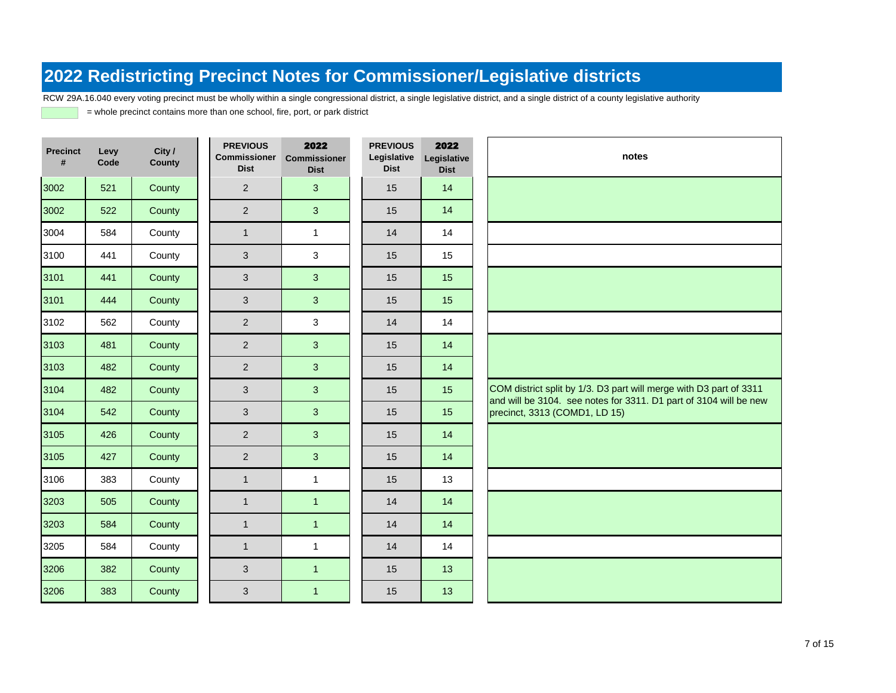RCW 29A.16.040 every voting precinct must be wholly within a single congressional district, a single legislative district, and a single district of a county legislative authority

| <b>Precinct</b><br># | Levy<br>Code | City /<br>County | <b>PREVIOUS</b><br><b>Commissioner</b><br><b>Dist</b> | 2022<br><b>Commissioner</b><br><b>Dist</b> | <b>PREVIOUS</b><br>Legislative<br><b>Dist</b> | 2022<br>Legislative<br><b>Dist</b> | notes                                                                                                                                   |
|----------------------|--------------|------------------|-------------------------------------------------------|--------------------------------------------|-----------------------------------------------|------------------------------------|-----------------------------------------------------------------------------------------------------------------------------------------|
| 3002                 | 521          | County           | $\overline{2}$                                        | 3                                          | 15                                            | 14                                 |                                                                                                                                         |
| 3002                 | 522          | County           | 2                                                     | 3                                          | 15                                            | 14                                 |                                                                                                                                         |
| 3004                 | 584          | County           | $\mathbf{1}$                                          | $\mathbf{1}$                               | 14                                            | 14                                 |                                                                                                                                         |
| 3100                 | 441          | County           | 3                                                     | 3                                          | 15                                            | 15                                 |                                                                                                                                         |
| 3101                 | 441          | County           | 3                                                     | 3                                          | 15                                            | 15                                 |                                                                                                                                         |
| 3101                 | 444          | County           | $\mathbf{3}$                                          | 3                                          | 15                                            | 15                                 |                                                                                                                                         |
| 3102                 | 562          | County           | $\overline{2}$                                        | 3                                          | 14                                            | 14                                 |                                                                                                                                         |
| 3103                 | 481          | County           | 2                                                     | 3 <sup>1</sup>                             | 15                                            | 14                                 |                                                                                                                                         |
| 3103                 | 482          | County           | 2                                                     | 3                                          | 15                                            | 14                                 |                                                                                                                                         |
| 3104                 | 482          | County           | 3                                                     | 3                                          | 15                                            | 15                                 | COM district split by 1/3. D3 part will merge with D3 part of 3311<br>and will be 3104. see notes for 3311. D1 part of 3104 will be new |
| 3104                 | 542          | County           | 3                                                     | 3                                          | 15                                            | 15                                 | precinct, 3313 (COMD1, LD 15)                                                                                                           |
| 3105                 | 426          | County           | $\overline{2}$                                        | 3                                          | 15                                            | 14                                 |                                                                                                                                         |
| 3105                 | 427          | County           | $\overline{2}$                                        | 3 <sup>1</sup>                             | 15                                            | 14                                 |                                                                                                                                         |
| 3106                 | 383          | County           | $\mathbf{1}$                                          | $\mathbf{1}$                               | 15                                            | 13                                 |                                                                                                                                         |
| 3203                 | 505          | County           | $\mathbf{1}$                                          | $\overline{1}$                             | 14                                            | 14                                 |                                                                                                                                         |
| 3203                 | 584          | County           | $\mathbf{1}$                                          | $\mathbf{1}$                               | 14                                            | 14                                 |                                                                                                                                         |
| 3205                 | 584          | County           | $\mathbf{1}$                                          | $\overline{1}$                             | 14                                            | 14                                 |                                                                                                                                         |
| 3206                 | 382          | County           | 3                                                     | $\overline{1}$                             | 15                                            | 13                                 |                                                                                                                                         |
| 3206                 | 383          | County           | 3                                                     | $\overline{1}$                             | 15                                            | 13                                 |                                                                                                                                         |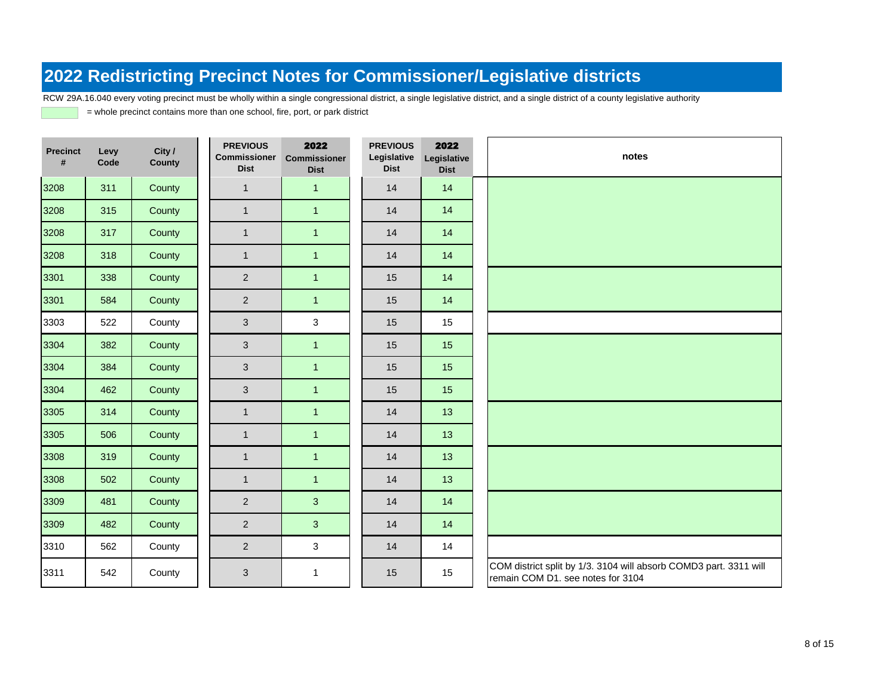RCW 29A.16.040 every voting precinct must be wholly within a single congressional district, a single legislative district, and a single district of a county legislative authority

| <b>Precinct</b><br># | Levy<br>Code | City /<br>County | <b>PREVIOUS</b><br><b>Commissioner</b><br><b>Dist</b> | 2022<br>Commissioner<br><b>Dist</b> | <b>PREVIOUS</b><br>Legislative<br><b>Dist</b> | 2022<br>Legislative<br><b>Dist</b> | notes                                                                                                  |
|----------------------|--------------|------------------|-------------------------------------------------------|-------------------------------------|-----------------------------------------------|------------------------------------|--------------------------------------------------------------------------------------------------------|
| 3208                 | 311          | County           | $\mathbf{1}$                                          | $\mathbf{1}$                        | 14                                            | 14                                 |                                                                                                        |
| 3208                 | 315          | County           | $\mathbf{1}$                                          | $\mathbf{1}$                        | 14                                            | 14                                 |                                                                                                        |
| 3208                 | 317          | County           | $\mathbf{1}$                                          | $\mathbf{1}$                        | 14                                            | 14                                 |                                                                                                        |
| 3208                 | 318          | County           | $\mathbf{1}$                                          | $\mathbf{1}$                        | 14                                            | 14                                 |                                                                                                        |
| 3301                 | 338          | County           | $\overline{2}$                                        | $\mathbf{1}$                        | 15                                            | 14                                 |                                                                                                        |
| 3301                 | 584          | County           | $\overline{2}$                                        | $\mathbf{1}$                        | 15                                            | 14                                 |                                                                                                        |
| 3303                 | 522          | County           | $\mathfrak{S}$                                        | $\mathbf{3}$                        | 15                                            | 15                                 |                                                                                                        |
| 3304                 | 382          | County           | 3                                                     | $\mathbf{1}$                        | 15                                            | 15                                 |                                                                                                        |
| 3304                 | 384          | County           | $\mathfrak{S}$                                        | $\overline{1}$                      | 15                                            | 15                                 |                                                                                                        |
| 3304                 | 462          | County           | $\mathfrak{S}$                                        | $\mathbf{1}$                        | 15                                            | 15                                 |                                                                                                        |
| 3305                 | 314          | County           | $\mathbf{1}$                                          | $\mathbf{1}$                        | 14                                            | 13                                 |                                                                                                        |
| 3305                 | 506          | County           | $\mathbf{1}$                                          | $\mathbf{1}$                        | 14                                            | 13                                 |                                                                                                        |
| 3308                 | 319          | County           | $\mathbf{1}$                                          | $\mathbf{1}$                        | 14                                            | 13                                 |                                                                                                        |
| 3308                 | 502          | County           | $\mathbf{1}$                                          | $\mathbf{1}$                        | 14                                            | 13                                 |                                                                                                        |
| 3309                 | 481          | County           | $\overline{2}$                                        | 3                                   | 14                                            | 14                                 |                                                                                                        |
| 3309                 | 482          | County           | $\overline{2}$                                        | 3                                   | 14                                            | 14                                 |                                                                                                        |
| 3310                 | 562          | County           | $\overline{2}$                                        | 3                                   | 14                                            | 14                                 |                                                                                                        |
| 3311                 | 542          | County           | 3                                                     | $\mathbf{1}$                        | 15                                            | 15                                 | COM district split by 1/3. 3104 will absorb COMD3 part. 3311 will<br>remain COM D1. see notes for 3104 |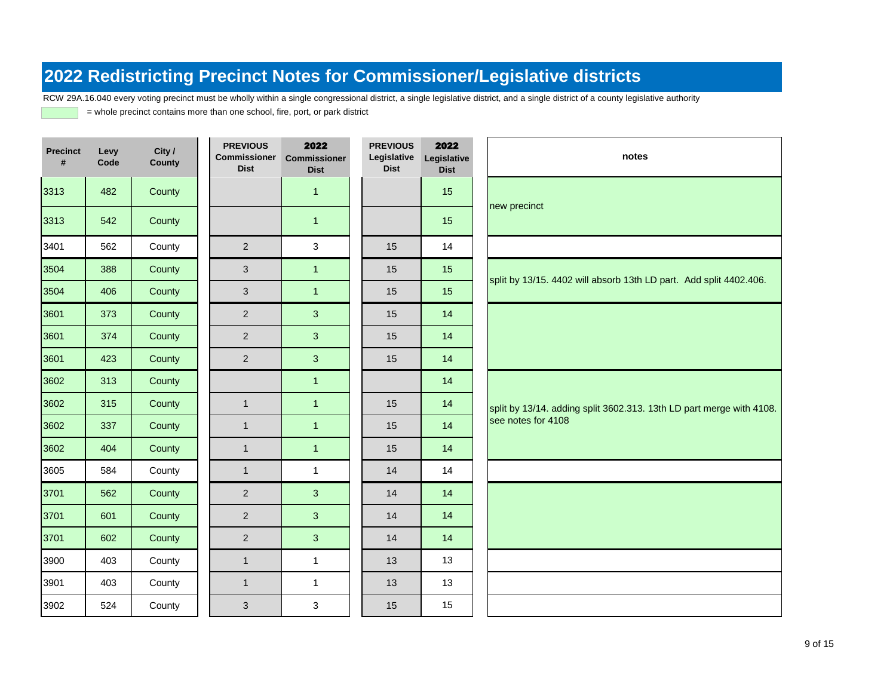RCW 29A.16.040 every voting precinct must be wholly within a single congressional district, a single legislative district, and a single district of a county legislative authority

| <b>Precinct</b><br># | Levy<br>Code | City /<br>County | <b>PREVIOUS</b><br><b>Commissioner</b><br><b>Dist</b> | 2022<br><b>Commissioner</b><br><b>Dist</b> | <b>PREVIOUS</b><br>Legislative<br><b>Dist</b> | 2022<br>Legislative<br><b>Dist</b> | notes                                                                |
|----------------------|--------------|------------------|-------------------------------------------------------|--------------------------------------------|-----------------------------------------------|------------------------------------|----------------------------------------------------------------------|
| 3313                 | 482          | County           |                                                       | $\mathbf{1}$                               |                                               | 15                                 |                                                                      |
| 3313                 | 542          | County           |                                                       | $\mathbf{1}$                               |                                               | 15                                 | new precinct                                                         |
| 3401                 | 562          | County           | $\overline{2}$                                        | 3                                          | 15                                            | 14                                 |                                                                      |
| 3504                 | 388          | County           | $\mathbf{3}$                                          | $\mathbf{1}$                               | 15                                            | 15                                 | split by 13/15. 4402 will absorb 13th LD part. Add split 4402.406.   |
| 3504                 | 406          | County           | $\mathbf{3}$                                          | $\mathbf{1}$                               | 15                                            | 15                                 |                                                                      |
| 3601                 | 373          | County           | $\overline{2}$                                        | 3                                          | 15                                            | 14                                 |                                                                      |
| 3601                 | 374          | County           | $\overline{2}$                                        | 3                                          | 15                                            | 14                                 |                                                                      |
| 3601                 | 423          | County           | $\overline{2}$                                        | 3                                          | 15                                            | 14                                 |                                                                      |
| 3602                 | 313          | County           |                                                       | $\mathbf{1}$                               |                                               | 14                                 |                                                                      |
| 3602                 | 315          | County           | $\mathbf{1}$                                          | $\mathbf{1}$                               | 15                                            | 14                                 | split by 13/14. adding split 3602.313. 13th LD part merge with 4108. |
| 3602                 | 337          | County           | $\mathbf{1}$                                          | $\mathbf{1}$                               | 15                                            | 14                                 | see notes for 4108                                                   |
| 3602                 | 404          | County           | $\mathbf{1}$                                          | $\mathbf{1}$                               | 15                                            | 14                                 |                                                                      |
| 3605                 | 584          | County           | $\mathbf{1}$                                          | $\mathbf{1}$                               | 14                                            | 14                                 |                                                                      |
| 3701                 | 562          | County           | $\overline{2}$                                        | 3                                          | 14                                            | 14                                 |                                                                      |
| 3701                 | 601          | County           | $\overline{2}$                                        | 3                                          | 14                                            | 14                                 |                                                                      |
| 3701                 | 602          | County           | $\overline{2}$                                        | 3                                          | 14                                            | 14                                 |                                                                      |
| 3900                 | 403          | County           | $\mathbf{1}$                                          | $\mathbf{1}$                               | 13                                            | 13                                 |                                                                      |
| 3901                 | 403          | County           | $\mathbf{1}$                                          | $\mathbf{1}$                               | 13                                            | 13                                 |                                                                      |
| 3902                 | 524          | County           | 3                                                     | 3                                          | 15                                            | 15                                 |                                                                      |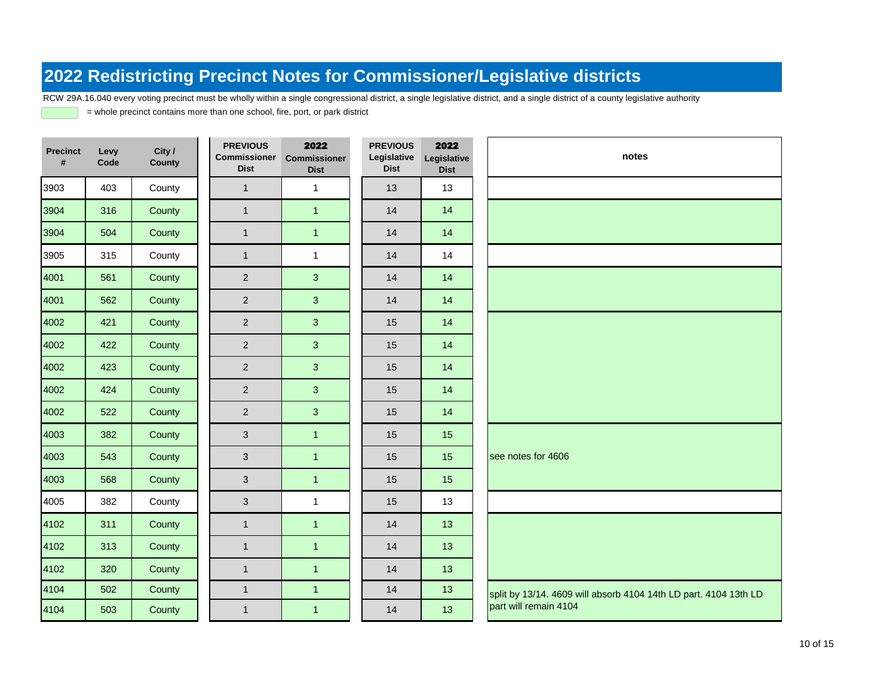RCW 29A.16.040 every voting precinct must be wholly within a single congressional district, a single legislative district, and a single district of a county legislative authority

| <b>Precinct</b><br># | Levy<br>Code | City /<br>County | <b>PREVIOUS</b><br><b>Commissioner</b><br><b>Dist</b> | 2022<br><b>Commissioner</b><br><b>Dist</b> | <b>PREVIOUS</b><br>Legislative<br><b>Dist</b> | 2022<br>Legislative<br><b>Dist</b> | notes                                                            |
|----------------------|--------------|------------------|-------------------------------------------------------|--------------------------------------------|-----------------------------------------------|------------------------------------|------------------------------------------------------------------|
| 3903                 | 403          | County           | $\mathbf{1}$                                          | $\mathbf{1}$                               | 13                                            | 13                                 |                                                                  |
| 3904                 | 316          | County           | $\mathbf{1}$                                          | $\mathbf{1}$                               | 14                                            | 14                                 |                                                                  |
| 3904                 | 504          | County           | $\mathbf{1}$                                          | $\mathbf{1}$                               | 14                                            | 14                                 |                                                                  |
| 3905                 | 315          | County           | $\mathbf{1}$                                          | $\mathbf{1}$                               | 14                                            | 14                                 |                                                                  |
| 4001                 | 561          | County           | $\overline{2}$                                        | 3                                          | 14                                            | 14                                 |                                                                  |
| 4001                 | 562          | County           | $\overline{2}$                                        | $\overline{3}$                             | 14                                            | 14                                 |                                                                  |
| 4002                 | 421          | County           | $\overline{c}$                                        | 3                                          | 15                                            | 14                                 |                                                                  |
| 4002                 | 422          | County           | $\overline{c}$                                        | 3                                          | 15                                            | 14                                 |                                                                  |
| 4002                 | 423          | County           | $\overline{2}$                                        | $\overline{3}$                             | 15                                            | 14                                 |                                                                  |
| 4002                 | 424          | County           | $\overline{2}$                                        | 3                                          | 15                                            | 14                                 |                                                                  |
| 4002                 | 522          | County           | $\overline{2}$                                        | 3                                          | 15                                            | 14                                 |                                                                  |
| 4003                 | 382          | County           | 3                                                     | $\mathbf{1}$                               | 15                                            | 15                                 |                                                                  |
| 4003                 | 543          | County           | 3                                                     | $\mathbf{1}$                               | 15                                            | 15                                 | see notes for 4606                                               |
| 4003                 | 568          | County           | $\mathfrak{S}$                                        | $\mathbf{1}$                               | 15                                            | 15                                 |                                                                  |
| 4005                 | 382          | County           | 3                                                     | $\mathbf{1}$                               | 15                                            | 13                                 |                                                                  |
| 4102                 | 311          | County           | $\mathbf{1}$                                          | $\mathbf{1}$                               | 14                                            | 13                                 |                                                                  |
| 4102                 | 313          | County           | $\mathbf{1}$                                          | $\mathbf{1}$                               | 14                                            | 13                                 |                                                                  |
| 4102                 | 320          | County           | $\mathbf{1}$                                          | $\mathbf{1}$                               | 14                                            | 13                                 |                                                                  |
| 4104                 | 502          | County           | $\mathbf{1}$                                          | $\mathbf{1}$                               | 14                                            | 13                                 | split by 13/14. 4609 will absorb 4104 14th LD part. 4104 13th LD |
| 4104                 | 503          | County           | $\mathbf{1}$                                          | $\overline{1}$                             | 14                                            | 13                                 | part will remain 4104                                            |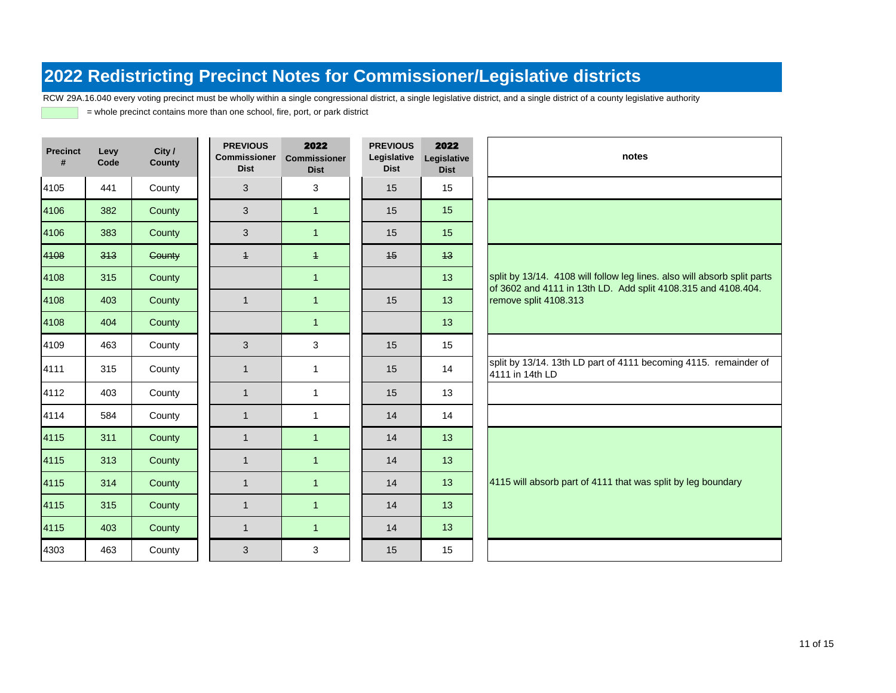RCW 29A.16.040 every voting precinct must be wholly within a single congressional district, a single legislative district, and a single district of a county legislative authority

| <b>Precinct</b><br># | Levy<br>Code | City /<br><b>County</b> | <b>PREVIOUS</b><br><b>Commissioner</b><br><b>Dist</b> | 2022<br><b>Commissioner</b><br><b>Dist</b> | <b>PREVIOUS</b><br>Legislative<br><b>Dist</b> | 2022<br>Legislative<br><b>Dist</b> | notes                                                                                                                                     |
|----------------------|--------------|-------------------------|-------------------------------------------------------|--------------------------------------------|-----------------------------------------------|------------------------------------|-------------------------------------------------------------------------------------------------------------------------------------------|
| 4105                 | 441          | County                  | 3                                                     | 3                                          | 15                                            | 15                                 |                                                                                                                                           |
| 4106                 | 382          | County                  | 3                                                     | $\overline{1}$                             | 15                                            | 15                                 |                                                                                                                                           |
| 4106                 | 383          | County                  | 3                                                     | $\overline{1}$                             | 15                                            | 15                                 |                                                                                                                                           |
| 4108                 | 313          | Gounty                  | $\overline{+}$                                        | $\overline{+}$                             | 45                                            | 43                                 |                                                                                                                                           |
| 4108                 | 315          | County                  |                                                       | $\mathbf{1}$                               |                                               | 13                                 | split by 13/14. 4108 will follow leg lines. also will absorb split parts<br>of 3602 and 4111 in 13th LD. Add split 4108.315 and 4108.404. |
| 4108                 | 403          | County                  | $\mathbf{1}$                                          | $\overline{1}$                             | 15                                            | 13                                 | remove split 4108.313                                                                                                                     |
| 4108                 | 404          | County                  |                                                       | $\blacktriangleleft$                       |                                               | 13                                 |                                                                                                                                           |
| 4109                 | 463          | County                  | 3                                                     | 3                                          | 15                                            | 15                                 |                                                                                                                                           |
| 4111                 | 315          | County                  | $\mathbf{1}$                                          | $\mathbf{1}$                               | 15                                            | 14                                 | split by 13/14. 13th LD part of 4111 becoming 4115. remainder of<br>4111 in 14th LD                                                       |
| 4112                 | 403          | County                  | $\mathbf{1}$                                          | $\mathbf{1}$                               | 15                                            | 13                                 |                                                                                                                                           |
| 4114                 | 584          | County                  | $\mathbf{1}$                                          | $\mathbf{1}$                               | 14                                            | 14                                 |                                                                                                                                           |
| 4115                 | 311          | County                  | $\mathbf{1}$                                          | $\overline{1}$                             | 14                                            | 13                                 |                                                                                                                                           |
| 4115                 | 313          | County                  | $\mathbf{1}$                                          | $\overline{1}$                             | 14                                            | 13                                 |                                                                                                                                           |
| 4115                 | 314          | County                  | $\mathbf{1}$                                          | $\overline{1}$                             | 14                                            | 13                                 | 4115 will absorb part of 4111 that was split by leg boundary                                                                              |
| 4115                 | 315          | County                  | $\mathbf{1}$                                          | $\overline{1}$                             | 14                                            | 13                                 |                                                                                                                                           |
| 4115                 | 403          | County                  | $\mathbf{1}$                                          | $\overline{1}$                             | 14                                            | 13                                 |                                                                                                                                           |
| 4303                 | 463          | County                  | 3                                                     | 3                                          | 15                                            | 15                                 |                                                                                                                                           |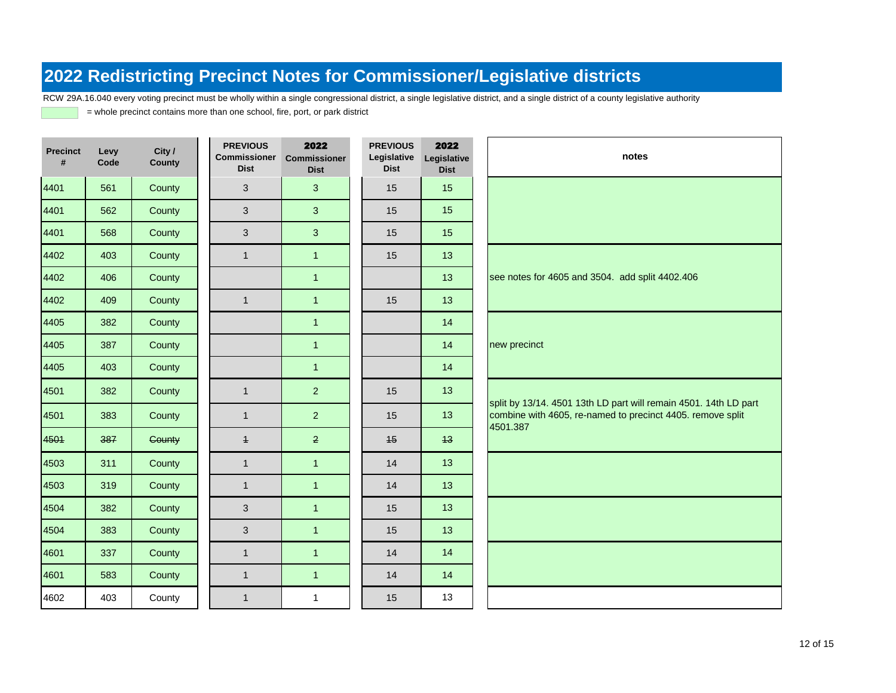RCW 29A.16.040 every voting precinct must be wholly within a single congressional district, a single legislative district, and a single district of a county legislative authority

| <b>Precinct</b><br># | Levy<br>Code | City /<br><b>County</b> | <b>PREVIOUS</b><br><b>Commissioner</b><br><b>Dist</b> | 2022<br><b>Commissioner</b><br><b>Dist</b> | <b>PREVIOUS</b><br>Legislative<br><b>Dist</b> | 2022<br>Legislative<br><b>Dist</b> | notes                                                                                                                                      |
|----------------------|--------------|-------------------------|-------------------------------------------------------|--------------------------------------------|-----------------------------------------------|------------------------------------|--------------------------------------------------------------------------------------------------------------------------------------------|
| 4401                 | 561          | County                  | 3                                                     | 3                                          | 15                                            | 15                                 |                                                                                                                                            |
| 4401                 | 562          | County                  | 3                                                     | 3                                          | 15                                            | 15                                 |                                                                                                                                            |
| 4401                 | 568          | County                  | 3                                                     | 3                                          | 15                                            | 15                                 |                                                                                                                                            |
| 4402                 | 403          | County                  | $\mathbf{1}$                                          | $\mathbf{1}$                               | 15                                            | 13                                 |                                                                                                                                            |
| 4402                 | 406          | County                  |                                                       | $\mathbf{1}$                               |                                               | 13                                 | see notes for 4605 and 3504. add split 4402.406                                                                                            |
| 4402                 | 409          | County                  | $\mathbf{1}$                                          | $\mathbf{1}$                               | 15                                            | 13                                 |                                                                                                                                            |
| 4405                 | 382          | County                  |                                                       | $\mathbf{1}$                               |                                               | 14                                 |                                                                                                                                            |
| 4405                 | 387          | County                  |                                                       | $\mathbf{1}$                               |                                               | 14                                 | new precinct                                                                                                                               |
| 4405                 | 403          | County                  |                                                       | $\mathbf{1}$                               |                                               | 14                                 |                                                                                                                                            |
| 4501                 | 382          | County                  | $\mathbf{1}$                                          | $\overline{2}$                             | 15                                            | 13                                 |                                                                                                                                            |
| 4501                 | 383          | County                  | $\mathbf{1}$                                          | $\overline{2}$                             | 15                                            | 13                                 | split by 13/14. 4501 13th LD part will remain 4501. 14th LD part<br>combine with 4605, re-named to precinct 4405. remove split<br>4501.387 |
| 4501                 | 387          | Gounty                  | $\overline{+}$                                        | $\overline{2}$                             | 45                                            | 43                                 |                                                                                                                                            |
| 4503                 | 311          | County                  | $\mathbf{1}$                                          | $\mathbf{1}$                               | 14                                            | 13                                 |                                                                                                                                            |
| 4503                 | 319          | County                  | $\mathbf{1}$                                          | $\mathbf{1}$                               | 14                                            | 13                                 |                                                                                                                                            |
| 4504                 | 382          | County                  | 3                                                     | $\mathbf{1}$                               | 15                                            | 13                                 |                                                                                                                                            |
| 4504                 | 383          | County                  | 3                                                     | $\mathbf{1}$                               | 15                                            | 13                                 |                                                                                                                                            |
| 4601                 | 337          | County                  | $\mathbf{1}$                                          | $\mathbf{1}$                               | 14                                            | 14                                 |                                                                                                                                            |
| 4601                 | 583          | County                  | $\mathbf{1}$                                          | $\mathbf{1}$                               | 14                                            | 14                                 |                                                                                                                                            |
| 4602                 | 403          | County                  | $\mathbf{1}$                                          | $\mathbf{1}$                               | 15                                            | 13                                 |                                                                                                                                            |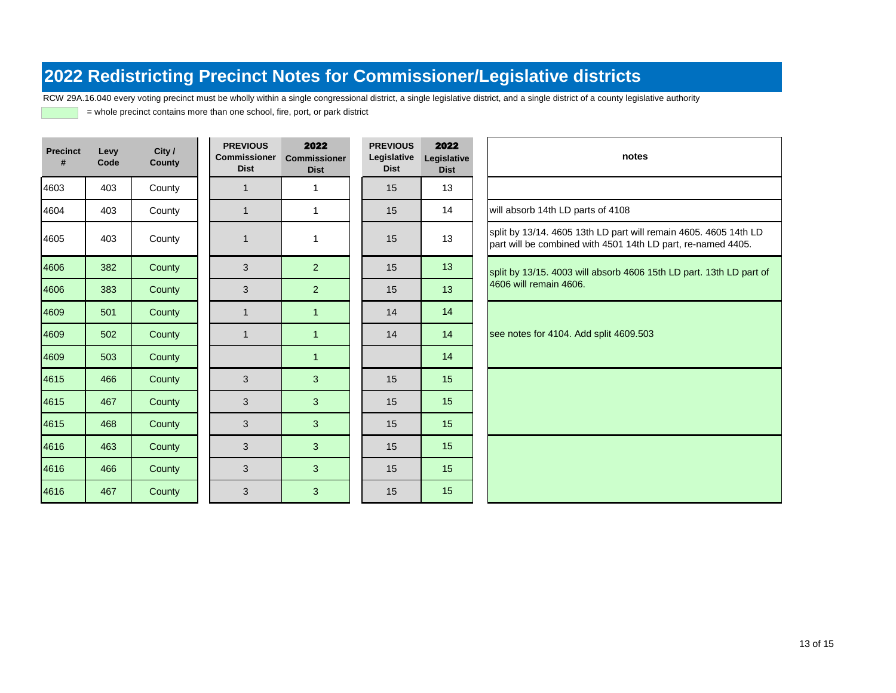RCW 29A.16.040 every voting precinct must be wholly within a single congressional district, a single legislative district, and a single district of a county legislative authority

| <b>Precinct</b><br># | Levy<br>Code | City /<br>County | <b>PREVIOUS</b><br><b>Commissioner</b><br><b>Dist</b> | 2022<br><b>Commissioner</b><br><b>Dist</b> | <b>PREVIOUS</b><br>Legislative<br><b>Dist</b> | 2022<br>Legislative<br><b>Dist</b> | notes                                                                                                                            |
|----------------------|--------------|------------------|-------------------------------------------------------|--------------------------------------------|-----------------------------------------------|------------------------------------|----------------------------------------------------------------------------------------------------------------------------------|
| 4603                 | 403          | County           | $\mathbf{1}$                                          | $\mathbf{1}$                               | 15                                            | 13                                 |                                                                                                                                  |
| 4604                 | 403          | County           | $\mathbf{1}$                                          | $\mathbf{1}$                               | 15                                            | 14                                 | will absorb 14th LD parts of 4108                                                                                                |
| 4605                 | 403          | County           | $\mathbf{1}$                                          | $\mathbf{1}$                               | 15                                            | 13                                 | split by 13/14. 4605 13th LD part will remain 4605. 4605 14th LD<br>part will be combined with 4501 14th LD part, re-named 4405. |
| 4606                 | 382          | County           | 3                                                     | 2 <sup>1</sup>                             | 15                                            | 13                                 | split by 13/15. 4003 will absorb 4606 15th LD part. 13th LD part of                                                              |
| 4606                 | 383          | County           | 3                                                     | $\overline{2}$                             | 15                                            | 13                                 | 4606 will remain 4606.                                                                                                           |
| 4609                 | 501          | County           | $\mathbf{1}$                                          | $\mathbf{1}$                               | 14                                            | 14                                 |                                                                                                                                  |
| 4609                 | 502          | County           | $\mathbf{1}$                                          | $\mathbf{1}$                               | 14                                            | 14                                 | see notes for 4104. Add split 4609.503                                                                                           |
| 4609                 | 503          | County           |                                                       | $\mathbf{1}$                               |                                               | 14                                 |                                                                                                                                  |
| 4615                 | 466          | County           | 3                                                     | 3                                          | 15                                            | 15                                 |                                                                                                                                  |
| 4615                 | 467          | County           | 3                                                     | 3                                          | 15                                            | 15                                 |                                                                                                                                  |
| 4615                 | 468          | County           | 3                                                     | 3                                          | 15                                            | 15                                 |                                                                                                                                  |
| 4616                 | 463          | County           | 3                                                     | $\mathbf{3}$                               | 15                                            | 15                                 |                                                                                                                                  |
| 4616                 | 466          | County           | $\mathfrak{S}$                                        | 3                                          | 15                                            | 15                                 |                                                                                                                                  |
| 4616                 | 467          | County           | $\mathfrak{S}$                                        | 3                                          | 15                                            | 15                                 |                                                                                                                                  |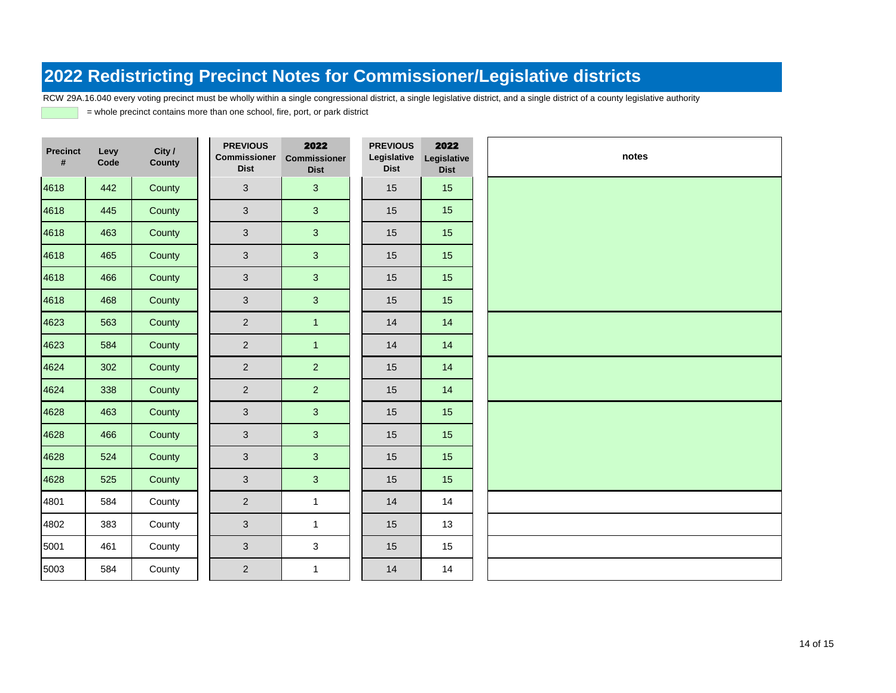RCW 29A.16.040 every voting precinct must be wholly within a single congressional district, a single legislative district, and a single district of a county legislative authority

| <b>Precinct</b><br># | Levy<br>Code | City /<br><b>County</b> | <b>PREVIOUS</b><br>Commissioner<br><b>Dist</b> | 2022<br><b>Commissioner</b><br><b>Dist</b> | <b>PREVIOUS</b><br>Legislative<br><b>Dist</b> | 2022<br>Legislative<br><b>Dist</b> | notes |
|----------------------|--------------|-------------------------|------------------------------------------------|--------------------------------------------|-----------------------------------------------|------------------------------------|-------|
| 4618                 | 442          | County                  | $\mathbf{3}$                                   | $\mathbf{3}$                               | 15                                            | 15                                 |       |
| 4618                 | 445          | County                  | 3                                              | $\mathbf{3}$                               | 15                                            | 15                                 |       |
| 4618                 | 463          | County                  | $\mathbf{3}$                                   | $\mathbf{3}$                               | 15                                            | 15                                 |       |
| 4618                 | 465          | County                  | $\mathbf{3}$                                   | 3 <sup>2</sup>                             | 15                                            | 15                                 |       |
| 4618                 | 466          | County                  | $\mathbf{3}$                                   | 3 <sup>2</sup>                             | 15                                            | 15                                 |       |
| 4618                 | 468          | County                  | $\mathfrak{S}$                                 | $\mathbf{3}$                               | 15                                            | 15                                 |       |
| 4623                 | 563          | County                  | $\overline{2}$                                 | $\mathbf{1}$                               | 14                                            | 14                                 |       |
| 4623                 | 584          | County                  | $\overline{2}$                                 | $\overline{1}$                             | 14                                            | 14                                 |       |
| 4624                 | 302          | County                  | $\overline{2}$                                 | 2 <sup>1</sup>                             | 15                                            | 14                                 |       |
| 4624                 | 338          | County                  | $\overline{2}$                                 | 2 <sup>1</sup>                             | 15                                            | 14                                 |       |
| 4628                 | 463          | County                  | $\mathbf{3}$                                   | $\overline{3}$                             | 15                                            | 15                                 |       |
| 4628                 | 466          | County                  | $\mathbf{3}$                                   | 3 <sup>2</sup>                             | 15                                            | 15                                 |       |
| 4628                 | 524          | County                  | $\mathbf{3}$                                   | 3 <sup>1</sup>                             | 15                                            | 15                                 |       |
| 4628                 | 525          | County                  | 3                                              | 3                                          | 15                                            | 15                                 |       |
| 4801                 | 584          | County                  | $\overline{2}$                                 | $\mathbf{1}$                               | 14                                            | 14                                 |       |
| 4802                 | 383          | County                  | $\mathbf{3}$                                   | $\mathbf{1}$                               | 15                                            | 13                                 |       |
| 5001                 | 461          | County                  | $\mathbf{3}$                                   | 3                                          | 15                                            | 15                                 |       |
| 5003                 | 584          | County                  | $\overline{2}$                                 | $\mathbf{1}$                               | 14                                            | 14                                 |       |